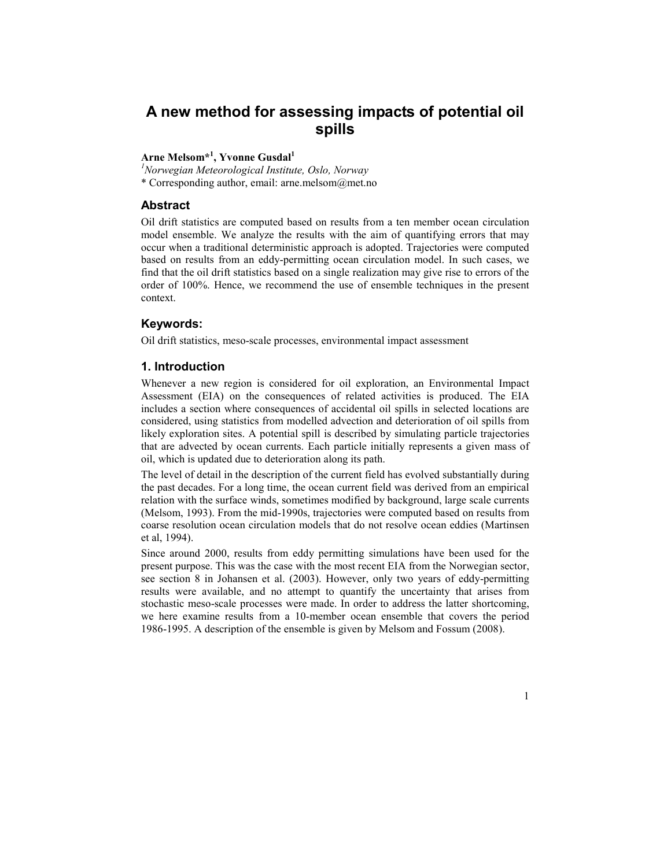# A new method for assessing impacts of potential oil spills

# Arne Melsom\*<sup>1</sup>, Yvonne Gusdal<sup>1</sup>

 $<sup>1</sup>$ Norwegian Meteorological Institute, Oslo, Norway</sup> \* Corresponding author, email: arne.melsom@met.no

# Abstract

Oil drift statistics are computed based on results from a ten member ocean circulation model ensemble. We analyze the results with the aim of quantifying errors that may occur when a traditional deterministic approach is adopted. Trajectories were computed based on results from an eddy-permitting ocean circulation model. In such cases, we find that the oil drift statistics based on a single realization may give rise to errors of the order of 100%. Hence, we recommend the use of ensemble techniques in the present context.

# Keywords:

Oil drift statistics, meso-scale processes, environmental impact assessment

## 1. Introduction

Whenever a new region is considered for oil exploration, an Environmental Impact Assessment (EIA) on the consequences of related activities is produced. The EIA includes a section where consequences of accidental oil spills in selected locations are considered, using statistics from modelled advection and deterioration of oil spills from likely exploration sites. A potential spill is described by simulating particle trajectories that are advected by ocean currents. Each particle initially represents a given mass of oil, which is updated due to deterioration along its path.

The level of detail in the description of the current field has evolved substantially during the past decades. For a long time, the ocean current field was derived from an empirical relation with the surface winds, sometimes modified by background, large scale currents (Melsom, 1993). From the mid-1990s, trajectories were computed based on results from coarse resolution ocean circulation models that do not resolve ocean eddies (Martinsen et al, 1994).

Since around 2000, results from eddy permitting simulations have been used for the present purpose. This was the case with the most recent EIA from the Norwegian sector, see section 8 in Johansen et al. (2003). However, only two years of eddy-permitting results were available, and no attempt to quantify the uncertainty that arises from stochastic meso-scale processes were made. In order to address the latter shortcoming, we here examine results from a 10-member ocean ensemble that covers the period 1986-1995. A description of the ensemble is given by Melsom and Fossum (2008).

1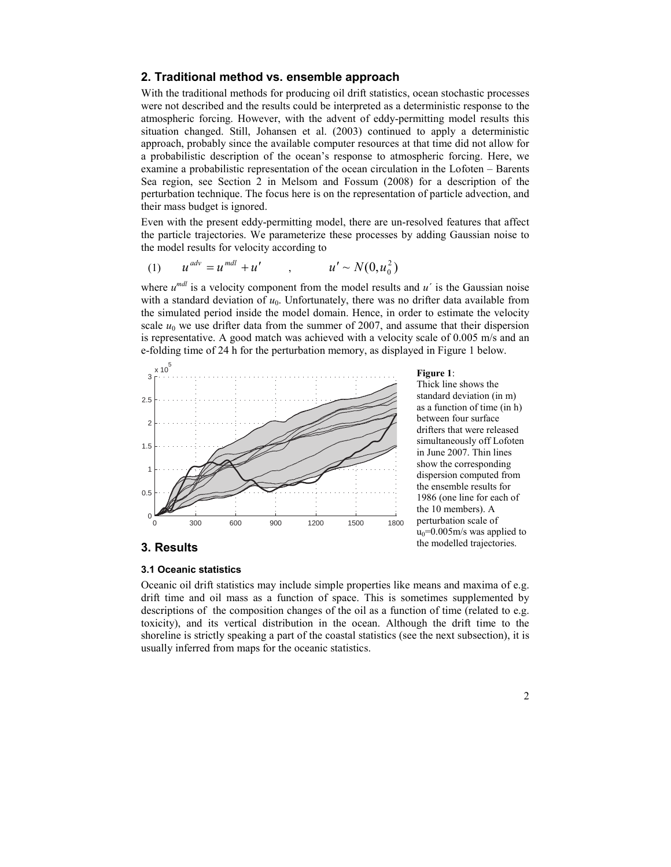# 2. Traditional method vs. ensemble approach

With the traditional methods for producing oil drift statistics, ocean stochastic processes were not described and the results could be interpreted as a deterministic response to the atmospheric forcing. However, with the advent of eddy-permitting model results this situation changed. Still, Johansen et al. (2003) continued to apply a deterministic approach, probably since the available computer resources at that time did not allow for a probabilistic description of the ocean's response to atmospheric forcing. Here, we examine a probabilistic representation of the ocean circulation in the Lofoten – Barents Sea region, see Section 2 in Melsom and Fossum (2008) for a description of the perturbation technique. The focus here is on the representation of particle advection, and their mass budget is ignored.

Even with the present eddy-permitting model, there are un-resolved features that affect the particle trajectories. We parameterize these processes by adding Gaussian noise to the model results for velocity according to

(1) 
$$
u^{adv} = u^{mdl} + u'
$$
,  $u' \sim N(0, u_0^2)$ 

where  $u^{mdl}$  is a velocity component from the model results and  $u'$  is the Gaussian noise with a standard deviation of  $u_0$ . Unfortunately, there was no drifter data available from the simulated period inside the model domain. Hence, in order to estimate the velocity scale  $u_0$  we use drifter data from the summer of 2007, and assume that their dispersion is representative. A good match was achieved with a velocity scale of 0.005 m/s and an e-folding time of 24 h for the perturbation memory, as displayed in Figure 1 below.



Figure 1:

Thick line shows the standard deviation (in m) as a function of time (in h) between four surface drifters that were released simultaneously off Lofoten in June 2007. Thin lines show the corresponding dispersion computed from the ensemble results for 1986 (one line for each of the 10 members). A perturbation scale of  $u_0=0.005$ m/s was applied to the modelled trajectories.

## 3. Results

#### 3.1 Oceanic statistics

Oceanic oil drift statistics may include simple properties like means and maxima of e.g. drift time and oil mass as a function of space. This is sometimes supplemented by descriptions of the composition changes of the oil as a function of time (related to e.g. toxicity), and its vertical distribution in the ocean. Although the drift time to the shoreline is strictly speaking a part of the coastal statistics (see the next subsection), it is usually inferred from maps for the oceanic statistics.

2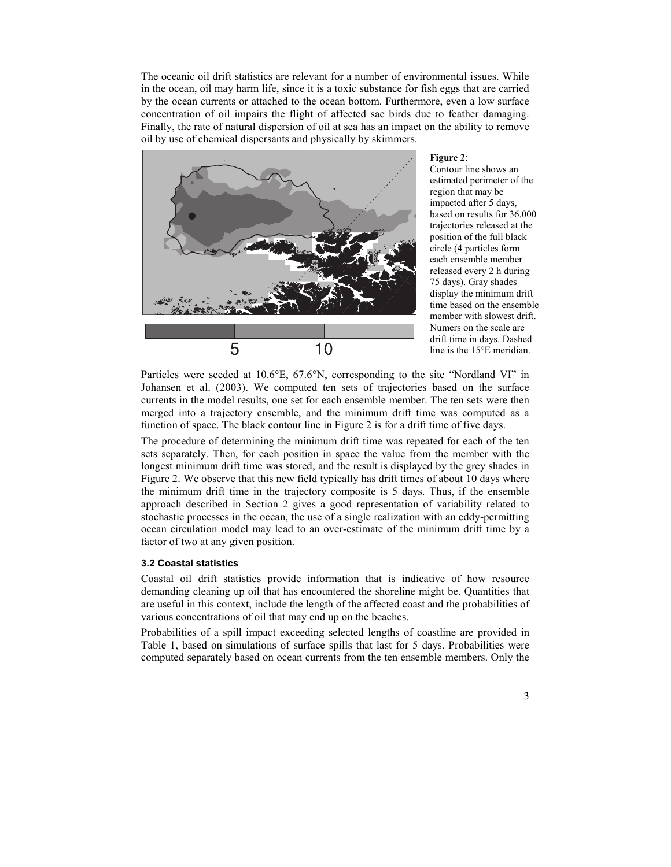The oceanic oil drift statistics are relevant for a number of environmental issues. While in the ocean, oil may harm life, since it is a toxic substance for fish eggs that are carried by the ocean currents or attached to the ocean bottom. Furthermore, even a low surface concentration of oil impairs the flight of affected sae birds due to feather damaging. Finally, the rate of natural dispersion of oil at sea has an impact on the ability to remove oil by use of chemical dispersants and physically by skimmers.



#### Figure 2:

Contour line shows an estimated perimeter of the region that may be impacted after 5 days, based on results for 36.000 trajectories released at the position of the full black circle (4 particles form each ensemble member released every 2 h during 75 days). Gray shades display the minimum drift time based on the ensemble member with slowest drift. Numers on the scale are drift time in days. Dashed line is the 15°E meridian.

Particles were seeded at 10.6°E, 67.6°N, corresponding to the site "Nordland VI" in Johansen et al. (2003). We computed ten sets of trajectories based on the surface currents in the model results, one set for each ensemble member. The ten sets were then merged into a trajectory ensemble, and the minimum drift time was computed as a function of space. The black contour line in Figure 2 is for a drift time of five days.

The procedure of determining the minimum drift time was repeated for each of the ten sets separately. Then, for each position in space the value from the member with the longest minimum drift time was stored, and the result is displayed by the grey shades in Figure 2. We observe that this new field typically has drift times of about 10 days where the minimum drift time in the trajectory composite is 5 days. Thus, if the ensemble approach described in Section 2 gives a good representation of variability related to stochastic processes in the ocean, the use of a single realization with an eddy-permitting ocean circulation model may lead to an over-estimate of the minimum drift time by a factor of two at any given position.

#### 3.2 Coastal statistics

Coastal oil drift statistics provide information that is indicative of how resource demanding cleaning up oil that has encountered the shoreline might be. Quantities that are useful in this context, include the length of the affected coast and the probabilities of various concentrations of oil that may end up on the beaches.

Probabilities of a spill impact exceeding selected lengths of coastline are provided in Table 1, based on simulations of surface spills that last for 5 days. Probabilities were computed separately based on ocean currents from the ten ensemble members. Only the